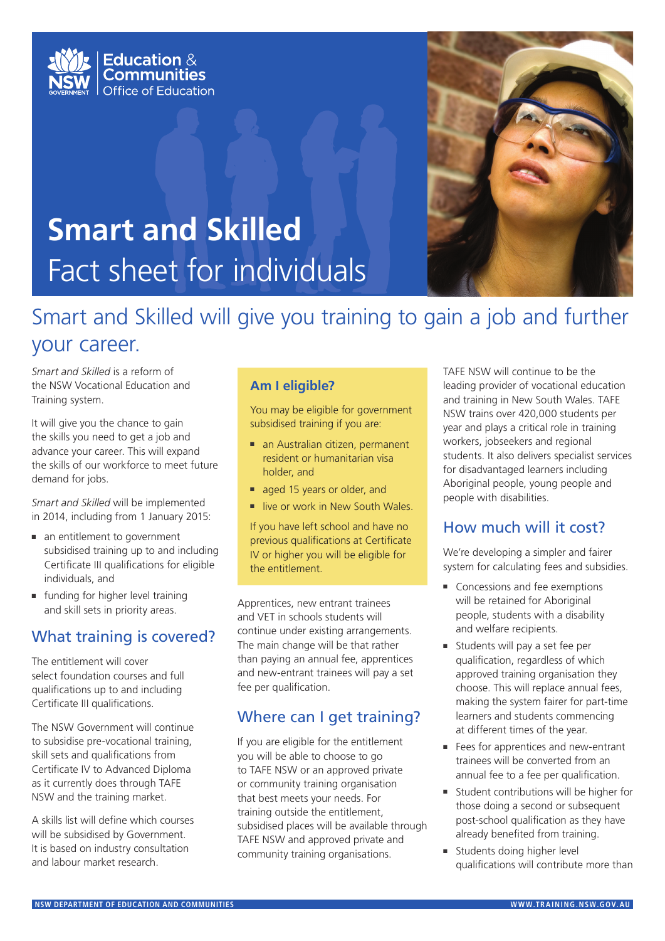



# **Smart and Skilled** Fact sheet for individuals

# Smart and Skilled will give you training to gain a job and further your career.

*Smart and Skilled* is a reform of the NSW Vocational Education and Training system.

It will give you the chance to gain the skills you need to get a job and advance your career. This will expand the skills of our workforce to meet future demand for jobs.

*Smart and Skilled* will be implemented in 2014, including from 1 January 2015:

- an entitlement to government subsidised training up to and including Certificate III qualifications for eligible individuals, and
- funding for higher level training and skill sets in priority areas.

## What training is covered?

The entitlement will cover select foundation courses and full qualifications up to and including Certificate III qualifications.

The NSW Government will continue to subsidise pre-vocational training, skill sets and qualifications from Certificate IV to Advanced Diploma as it currently does through TAFE NSW and the training market.

A skills list will define which courses will be subsidised by Government. It is based on industry consultation and labour market research.

### **Am I eligible?**

You may be eligible for government subsidised training if you are:

- an Australian citizen, permanent resident or humanitarian visa holder, and
- aged 15 years or older, and
- live or work in New South Wales.

If you have left school and have no previous qualifications at Certificate IV or higher you will be eligible for the entitlement.

Apprentices, new entrant trainees and VET in schools students will continue under existing arrangements. The main change will be that rather than paying an annual fee, apprentices and new-entrant trainees will pay a set fee per qualification.

# Where can I get training?

If you are eligible for the entitlement you will be able to choose to go to TAFE NSW or an approved private or community training organisation that best meets your needs. For training outside the entitlement, subsidised places will be available through TAFE NSW and approved private and community training organisations.

TAFE NSW will continue to be the leading provider of vocational education and training in New South Wales. TAFE NSW trains over 420,000 students per year and plays a critical role in training workers, jobseekers and regional students. It also delivers specialist services for disadvantaged learners including Aboriginal people, young people and people with disabilities.

# How much will it cost?

We're developing a simpler and fairer system for calculating fees and subsidies.

- Concessions and fee exemptions will be retained for Aboriginal people, students with a disability and welfare recipients.
- Students will pay a set fee per qualification, regardless of which approved training organisation they choose. This will replace annual fees, making the system fairer for part-time learners and students commencing at different times of the year.
- Fees for apprentices and new-entrant trainees will be converted from an annual fee to a fee per qualification.
- Student contributions will be higher for those doing a second or subsequent post-school qualification as they have already benefited from training.
- Students doing higher level qualifications will contribute more than